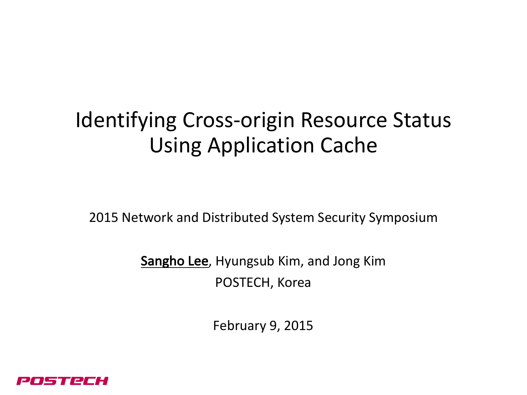# Identifying Cross-origin Resource Status Using Application Cache

2015 Network and Distributed System Security Symposium

Sangho Lee, Hyungsub Kim, and Jong Kim POSTECH, Korea

February 9, 2015

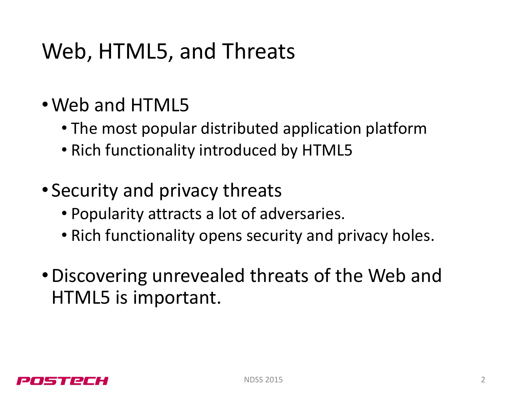# Web, HTML5, and Threats

- Web and HTML5
	- The most popular distributed application platform
	- Rich functionality introduced by HTML5
- Security and privacy threats
	- Popularity attracts a lot of adversaries.
	- Rich functionality opens security and privacy holes.
- Discovering unrevealed threats of the Web and HTML5 is important.

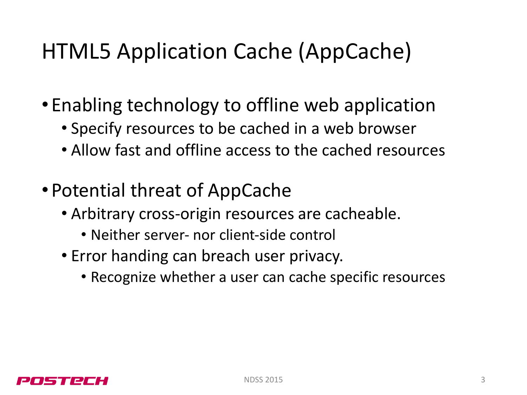# HTML5 Application Cache (AppCache)

- Enabling technology to offline web application
	- Specify resources to be cached in a web browser
	- Allow fast and offline access to the cached resources
- Potential threat of AppCache
	- Arbitrary cross-origin resources are cacheable.
		- Neither server- nor client-side control
	- Error handing can breach user privacy.
		- Recognize whether a user can cache specific resources

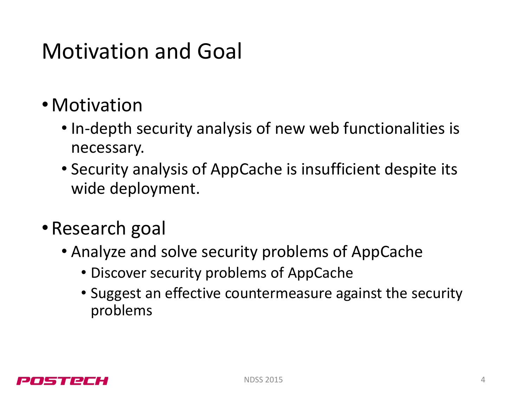### Motivation and Goal

- •Motivation
	- In-depth security analysis of new web functionalities is necessary.
	- Security analysis of AppCache is insufficient despite its wide deployment.
- Research goal
	- Analyze and solve security problems of AppCache
		- Discover security problems of AppCache
		- Suggest an effective countermeasure against the security problems

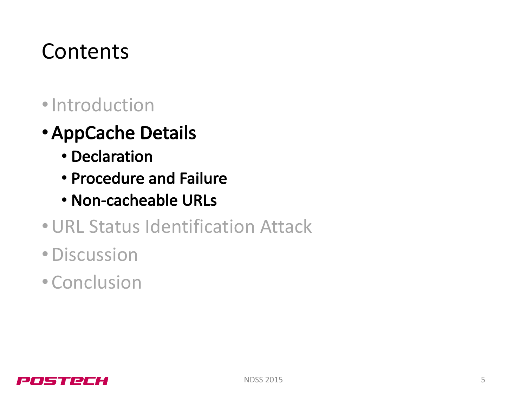### **Contents**

- •Introduction
- •AppCache Details
	- Declaration
	- Procedure and Failure
	- Non-cacheable URLs
- URL Status Identification Attack
- •Discussion
- •Conclusion

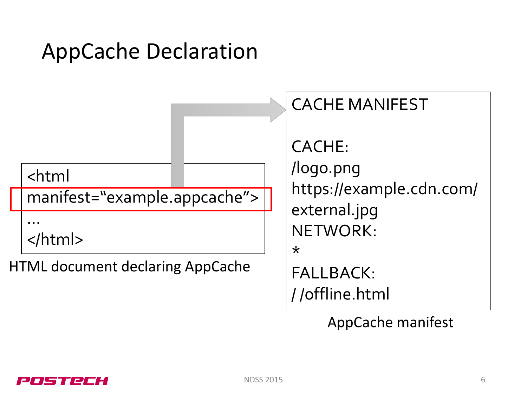# AppCache Declaration



AppCache manifest

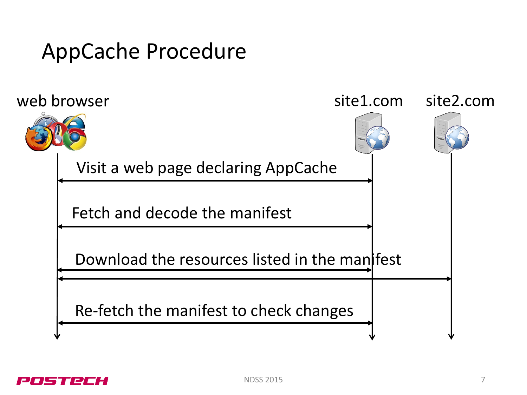### AppCache Procedure



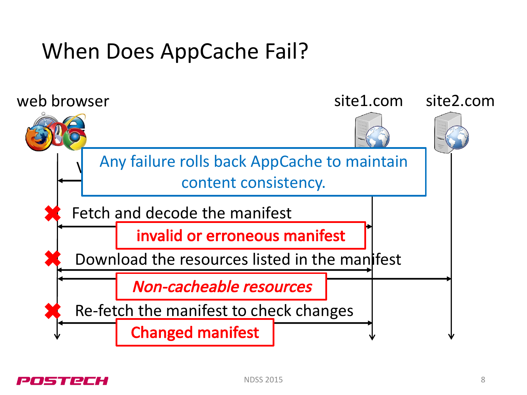### When Does AppCache Fail?



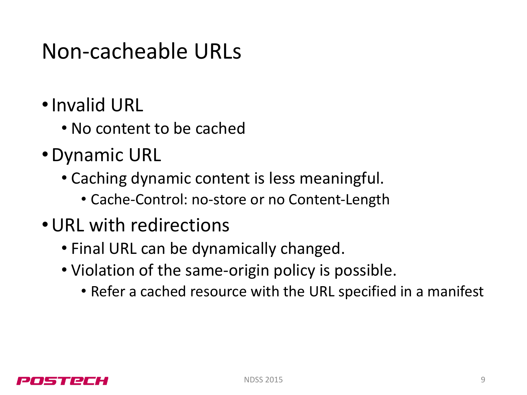# Non-cacheable URLs

- Invalid URL
	- No content to be cached
- Dynamic URL
	- Caching dynamic content is less meaningful.
		- Cache-Control: no-store or no Content-Length
- URL with redirections
	- Final URL can be dynamically changed.
	- Violation of the same-origin policy is possible.
		- Refer a cached resource with the URL specified in a manifest

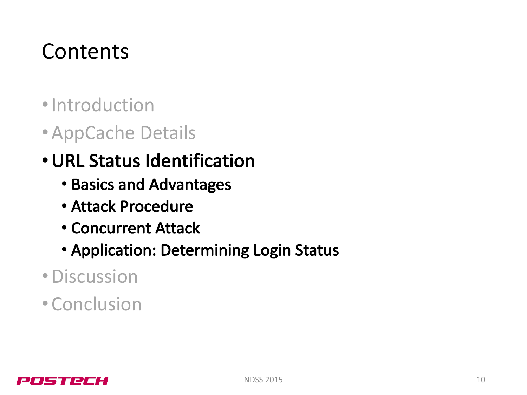# **Contents**

- •Introduction
- •AppCache Details
- URL Status Identification
	- Basics and Advantages
	- Attack Procedure
	- Concurrent Attack
	- Application: Determining Login Status
- •Discussion
- Conclusion

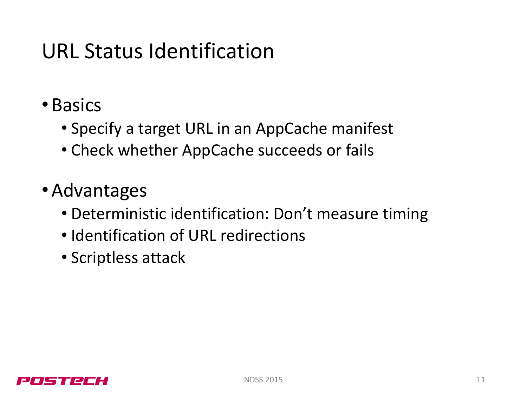### URL Status Identification

- •Basics
	- Specify a target URL in an AppCache manifest
	- Check whether AppCache succeeds or fails
- •Advantages
	- Deterministic identification: Don't measure timing
	- Identification of URL redirections
	- Scriptless attack

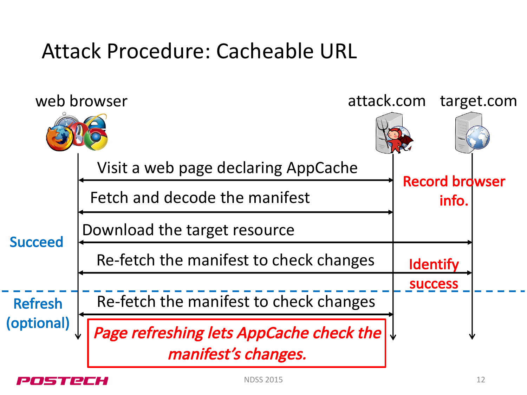### Attack Procedure: Cacheable URL



 $NDSS$  2015 12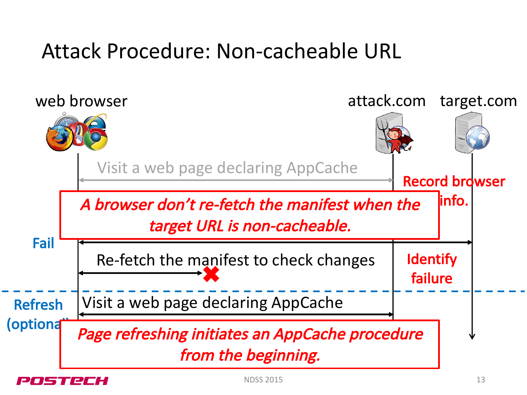### Attack Procedure: Non-cacheable URL

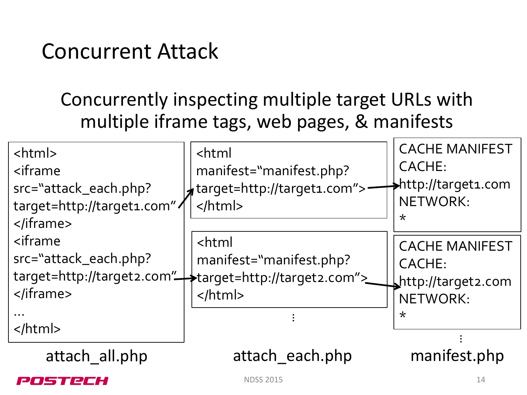### Concurrent Attack

#### Concurrently inspecting multiple target URLs with multiple iframe tags, web pages, & manifests

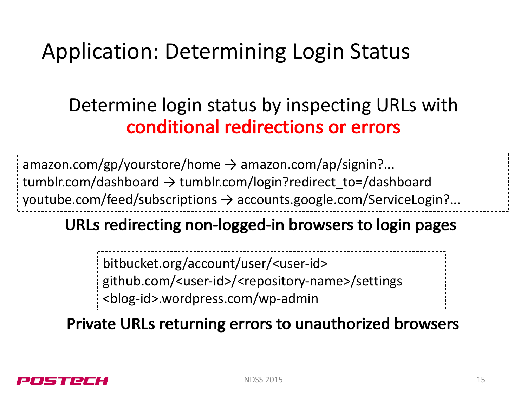# Application: Determining Login Status

#### Determine login status by inspecting URLs with conditional redirections or errors

amazon.com/gp/yourstore/home  $\rightarrow$  amazon.com/ap/signin?... tumblr.com/dashboard  $\rightarrow$  tumblr.com/login?redirect to=/dashboard youtube.com/feed/subscriptions  $\rightarrow$  accounts.google.com/ServiceLogin?...

#### URLs redirecting non-logged-in browsers to login pages

bitbucket.org/account/user/<user-id>

github.com/<user-id>/<repository-name>/settings

<blog-id>.wordpress.com/wp-admin

Private URLs returning errors to unauthorized browsers

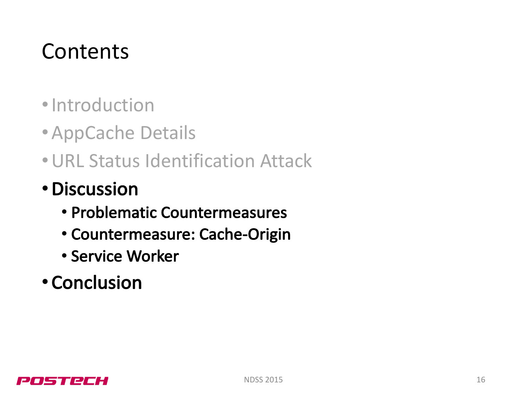# **Contents**

- •Introduction
- •AppCache Details
- URL Status Identification Attack
- •Discussion
	- Problematic Countermeasures
	- Countermeasure: Cache-Origin
	- Service Worker
- Conclusion

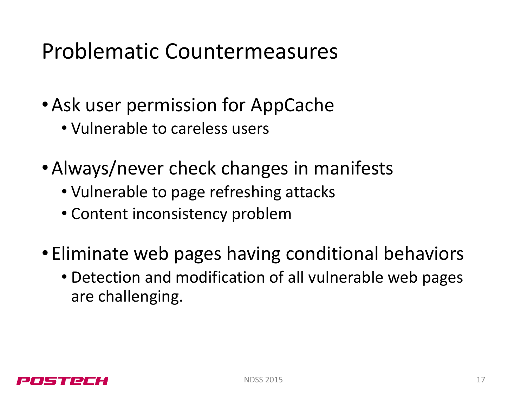# Problematic Countermeasures

- Ask user permission for AppCache
	- Vulnerable to careless users
- Always/never check changes in manifests
	- Vulnerable to page refreshing attacks
	- Content inconsistency problem
- Eliminate web pages having conditional behaviors
	- Detection and modification of all vulnerable web pages are challenging.

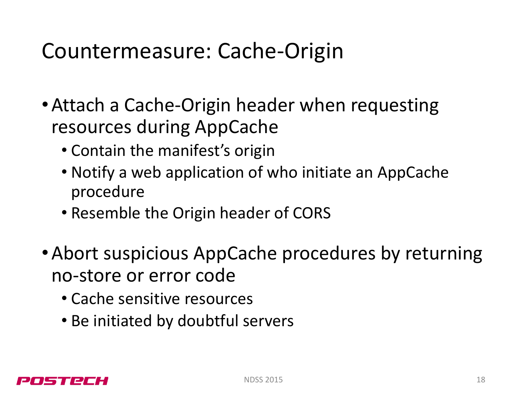### Countermeasure: Cache-Origin

- Attach a Cache-Origin header when requesting resources during AppCache
	- Contain the manifest's origin
	- Notify a web application of who initiate an AppCache procedure
	- Resemble the Origin header of CORS
- Abort suspicious AppCache procedures by returning no-store or error code
	- Cache sensitive resources
	- Be initiated by doubtful servers

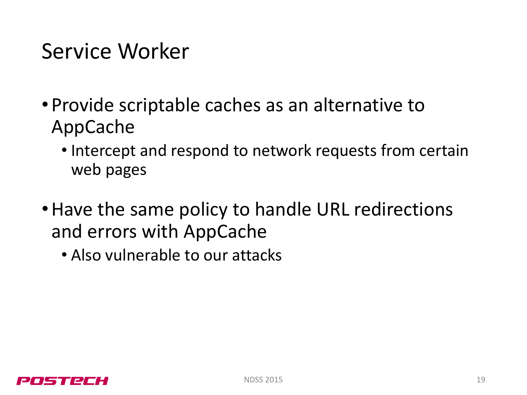### Service Worker

- Provide scriptable caches as an alternative to AppCache
	- Intercept and respond to network requests from certain web pages
- Have the same policy to handle URL redirections and errors with AppCache
	- Also vulnerable to our attacks

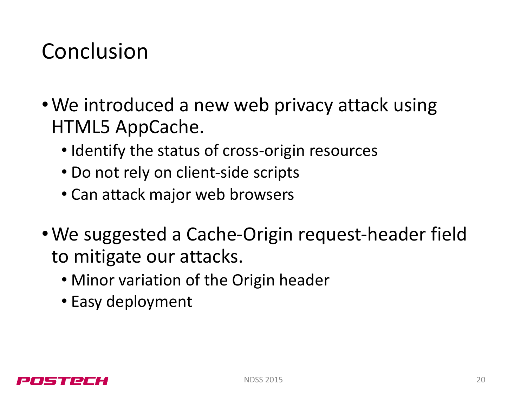## Conclusion

- We introduced a new web privacy attack using HTML5 AppCache.
	- Identify the status of cross-origin resources
	- Do not rely on client-side scripts
	- Can attack major web browsers
- We suggested a Cache-Origin request-header field to mitigate our attacks.
	- Minor variation of the Origin header
	- Easy deployment

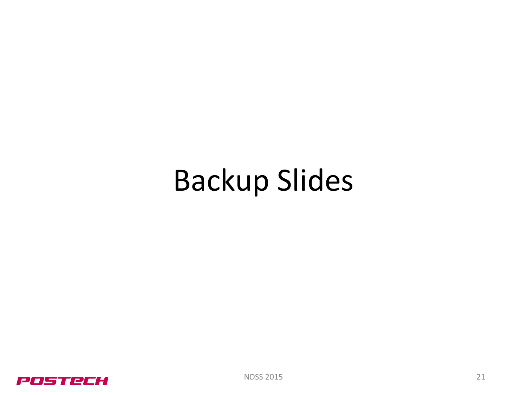# Backup Slides

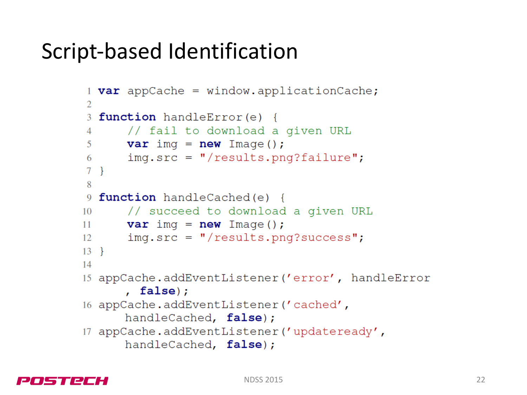### Script-based Identification

```
1 var appCache = window.applicationCache;
\overline{2}3 function handleError(e) {
       // fail to download a given URL
\overline{4}var imq = new Image();
5
       img.size = "| results.png?failure";6
\tau\mathcal{F}8
9 function handleCached(e) {
       // succeed to download a given URL
10<sup>1</sup>var imq = new Image();
11
       img.src = "/results.png?success";12
131415 appCache.addEventListener('error', handleError
      , false;
16 appCache.addEventListener('cached',
      handleCached, false);
17 appCache.addEventListener('updateready',
      handleCached, false);
```
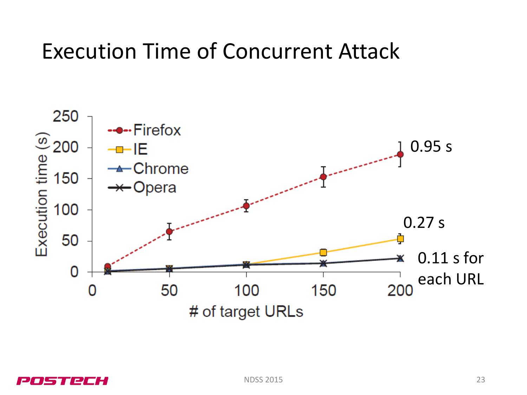### Execution Time of Concurrent Attack